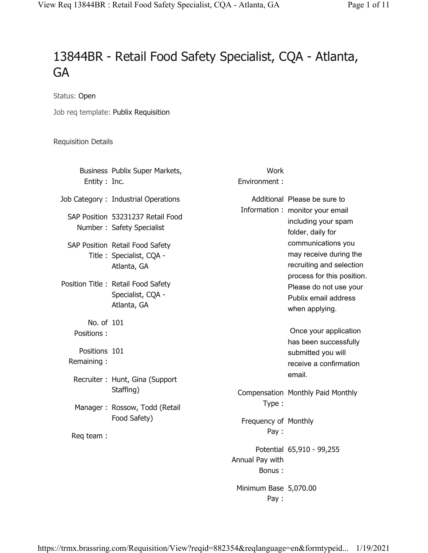## 13844BR - Retail Food Safety Specialist, CQA - Atlanta, GA

Status: Open

Job req template: Publix Requisition

## Requisition Details

|                             | Business Publix Super Markets,                                             | Work                          |                                                                                                        |
|-----------------------------|----------------------------------------------------------------------------|-------------------------------|--------------------------------------------------------------------------------------------------------|
| Entity : Inc.               |                                                                            | Environment:                  |                                                                                                        |
|                             | Job Category: Industrial Operations                                        |                               | Additional Please be sure to                                                                           |
|                             | SAP Position 53231237 Retail Food<br>Number: Safety Specialist             |                               | Information: monitor your email<br>including your spam<br>folder, daily for                            |
|                             | SAP Position Retail Food Safety<br>Title: Specialist, CQA -<br>Atlanta, GA |                               | communications you<br>may receive during the<br>recruiting and selection<br>process for this position. |
|                             | Position Title: Retail Food Safety<br>Specialist, CQA -<br>Atlanta, GA     |                               | Please do not use your<br>Publix email address<br>when applying.                                       |
| No. of 101<br>Positions:    |                                                                            |                               | Once your application                                                                                  |
| Positions 101<br>Remaining: |                                                                            |                               | has been successfully<br>submitted you will<br>receive a confirmation                                  |
|                             | Recruiter: Hunt, Gina (Support                                             |                               | email.                                                                                                 |
|                             | Staffing)                                                                  | Type:                         | Compensation Monthly Paid Monthly                                                                      |
|                             | Manager: Rossow, Todd (Retail<br>Food Safety)                              | Frequency of Monthly          |                                                                                                        |
| Req team:                   |                                                                            | Pay:                          |                                                                                                        |
|                             |                                                                            | Annual Pay with<br>Bonus:     | Potential 65,910 - 99,255                                                                              |
|                             |                                                                            | Minimum Base 5,070.00<br>Pay: |                                                                                                        |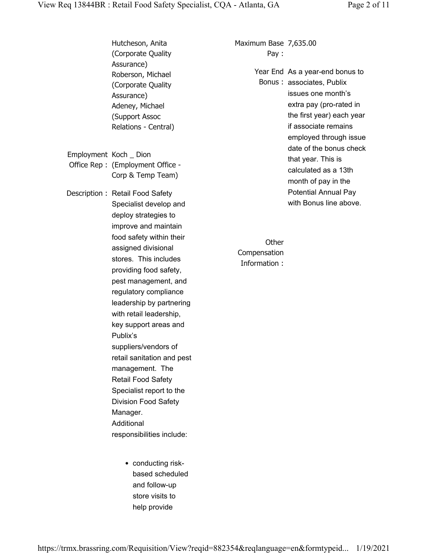|                        | Hutcheson, Anita<br>(Corporate Quality)                                                                                                                                                                                                                                                                                                                                                                                                                          | Maximum Base 7,635.00<br>Pay:         |                                                                                                                                                                                              |
|------------------------|------------------------------------------------------------------------------------------------------------------------------------------------------------------------------------------------------------------------------------------------------------------------------------------------------------------------------------------------------------------------------------------------------------------------------------------------------------------|---------------------------------------|----------------------------------------------------------------------------------------------------------------------------------------------------------------------------------------------|
|                        | Assurance)<br>Roberson, Michael<br>(Corporate Quality<br>Assurance)<br>Adeney, Michael<br>(Support Assoc<br>Relations - Central)                                                                                                                                                                                                                                                                                                                                 |                                       | Year End As a year-end bonus to<br>Bonus: associates, Publix<br>issues one month's<br>extra pay (pro-rated in<br>the first year) each year<br>if associate remains<br>employed through issue |
| Employment Koch _ Dion | Office Rep: (Employment Office -<br>Corp & Temp Team)                                                                                                                                                                                                                                                                                                                                                                                                            |                                       | date of the bonus check<br>that year. This is<br>calculated as a 13th<br>month of pay in the                                                                                                 |
|                        | Description: Retail Food Safety<br>Specialist develop and<br>deploy strategies to<br>improve and maintain                                                                                                                                                                                                                                                                                                                                                        |                                       | <b>Potential Annual Pay</b><br>with Bonus line above.                                                                                                                                        |
|                        | food safety within their<br>assigned divisional<br>stores. This includes<br>providing food safety,<br>pest management, and<br>regulatory compliance<br>leadership by partnering<br>with retail leadership,<br>key support areas and<br>Publix's<br>suppliers/vendors of<br>retail sanitation and pest<br>management. The<br>Retail Food Safety<br>Specialist report to the<br><b>Division Food Safety</b><br>Manager.<br>Additional<br>responsibilities include: | Other<br>Compensation<br>Information: |                                                                                                                                                                                              |

• conducting riskbased scheduled and follow-up store visits to help provide

https://trmx.brassring.com/Requisition/View?reqid=882354&reqlanguage=en&formtypeid... 1/19/2021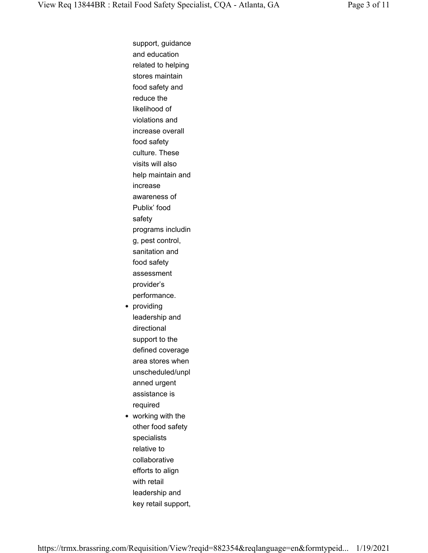support, guidance and education related to helping stores maintain food safety and reduce the likelihood of violations and increase overall food safety culture. These visits will also help maintain and increase awareness of Publix' food safety programs includin g, pest control, sanitation and food safety assessment provider's performance. • providing leadership and directional support to the defined coverage area stores when unscheduled/unpl anned urgent assistance is required • working with the other food safety specialists relative to collaborative efforts to align with retail leadership and key retail support,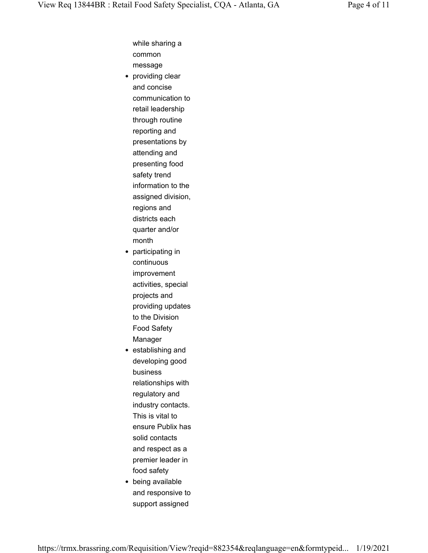while sharing a common message

- providing clear and concise communication to retail leadership through routine reporting and presentations by attending and presenting food safety trend information to the assigned division, regions and districts each quarter and/or month
- participating in continuous improvement activities, special projects and providing updates to the Division Food Safety Manager
- establishing and developing good business relationships with regulatory and industry contacts. This is vital to ensure Publix has solid contacts and respect as a premier leader in food safety
- being available and responsive to support assigned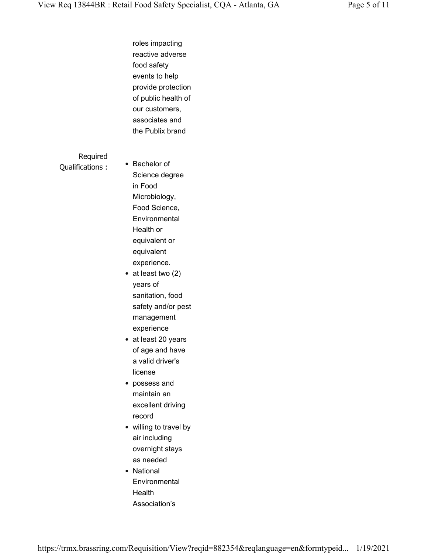roles impacting reactive adverse food safety events to help provide protection of public health of our customers, associates and the Publix brand

Required Qualifications :

• Bachelor of Science degree in Food Microbiology, Food Science, **Environmental** Health or equivalent or equivalent experience.

- at least two (2) years of sanitation, food safety and/or pest management experience
- at least 20 years of age and have a valid driver's license
- possess and maintain an excellent driving record
- willing to travel by air including overnight stays as needed
- National **Environmental Health** Association's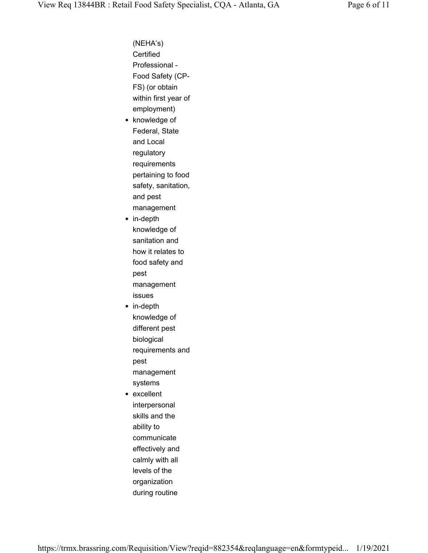(NEHA's) Certified Professional - Food Safety (CP-FS) (or obtain within first year of employment) • knowledge of Federal, State and Local regulatory requirements pertaining to food safety, sanitation, and pest management • in-depth knowledge of sanitation and how it relates to food safety and pest management issues • in-depth knowledge of different pest biological requirements and pest management systems • excellent interpersonal skills and the ability to communicate effectively and calmly with all levels of the organization during routine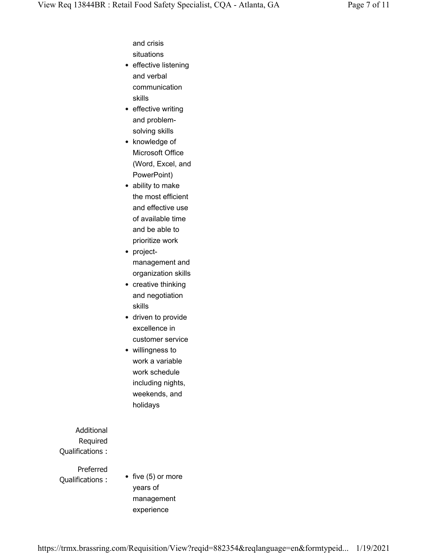and crisis situations

- effective listening and verbal communication skills
- effective writing and problemsolving skills
- knowledge of Microsoft Office (Word, Excel, and PowerPoint)
- ability to make the most efficient and effective use of available time and be able to prioritize work
- projectmanagement and organization skills
- creative thinking and negotiation skills
- driven to provide excellence in customer service
- willingness to work a variable work schedule including nights, weekends, and holidays

Additional Required Qualifications :

Preferred Qualifications :

• five (5) or more years of management experience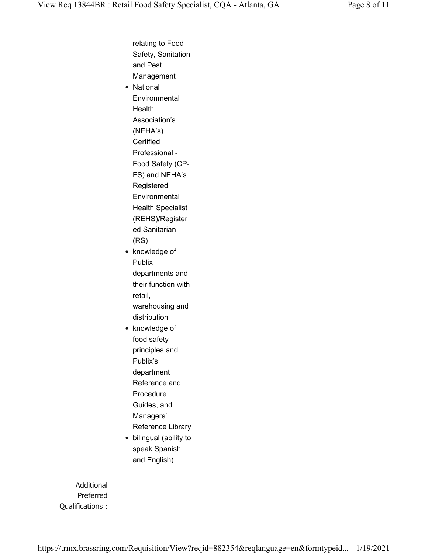relating to Food Safety, Sanitation and Pest Management • National **Environmental** Health Association's (NEHA's) **Certified** Professional - Food Safety (CP-FS) and NEHA's Registered Environmental Health Specialist (REHS)/Register ed Sanitarian (RS) • knowledge of Publix departments and their function with retail, warehousing and distribution • knowledge of food safety principles and Publix's department Reference and Procedure Guides, and Managers' Reference Library

• bilingual (ability to speak Spanish and English)

Additional Preferred Qualifications :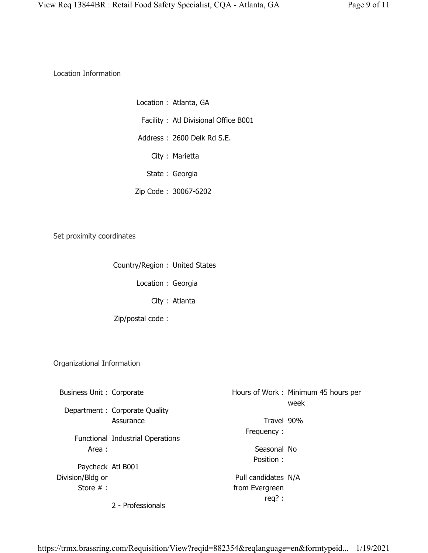Location Information

Location : Atlanta, GA Facility : Atl Divisional Office B001 Address : 2600 Delk Rd S.E. City : Marietta State : Georgia Zip Code : 30067-6202

Set proximity coordinates

Country/Region : United States

Location : Georgia

City : Atlanta

Zip/postal code :

Organizational Information

| Business Unit: Corporate |                                  |                     | Hours of Work: Minimum 45 hours per<br>week |
|--------------------------|----------------------------------|---------------------|---------------------------------------------|
|                          | Department : Corporate Quality   |                     |                                             |
|                          | Assurance                        | Travel 90%          |                                             |
|                          | Functional Industrial Operations | Frequency:          |                                             |
| Area:                    |                                  | Seasonal No         |                                             |
| Paycheck Atl B001        |                                  | Position:           |                                             |
| Division/Bldg or         |                                  | Pull candidates N/A |                                             |
| Store $#$ :              |                                  | from Evergreen      |                                             |
|                          |                                  | $req$ ?:            |                                             |
|                          | 2 - Professionals                |                     |                                             |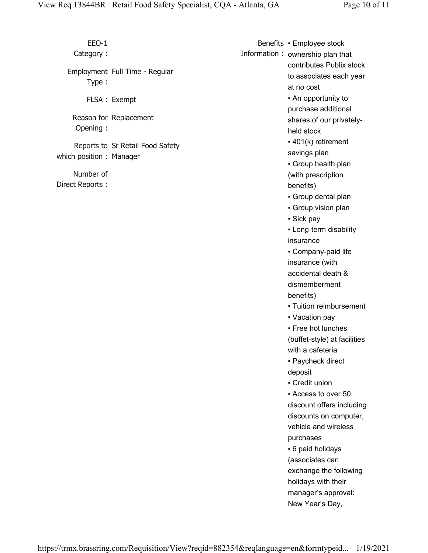EEO-1 Category : Employment Full Time - Regular Type : FLSA : Exempt Reason for Replacement Opening : Reports to Sr Retail Food Safety which position : Manager Number of Direct Reports : Benefits ▪ Employee stock Information : ownership plan that contributes Publix stock to associates each year at no cost ▪ An opportunity to purchase additional shares of our privatelyheld stock ▪ 401(k) retirement savings plan ▪ Group health plan (with prescription benefits) ▪ Group dental plan ▪ Group vision plan ▪ Sick pay ▪ Long-term disability insurance ▪ Company-paid life insurance (with accidental death & dismemberment benefits) ▪ Tuition reimbursement • Vacation pay • Free hot lunches (buffet-style) at facilities with a cafeteria ▪ Paycheck direct deposit • Credit union ▪ Access to over 50 discount offers including discounts on computer, vehicle and wireless purchases ■ 6 paid holidays (associates can exchange the following holidays with their manager's approval: New Year's Day,